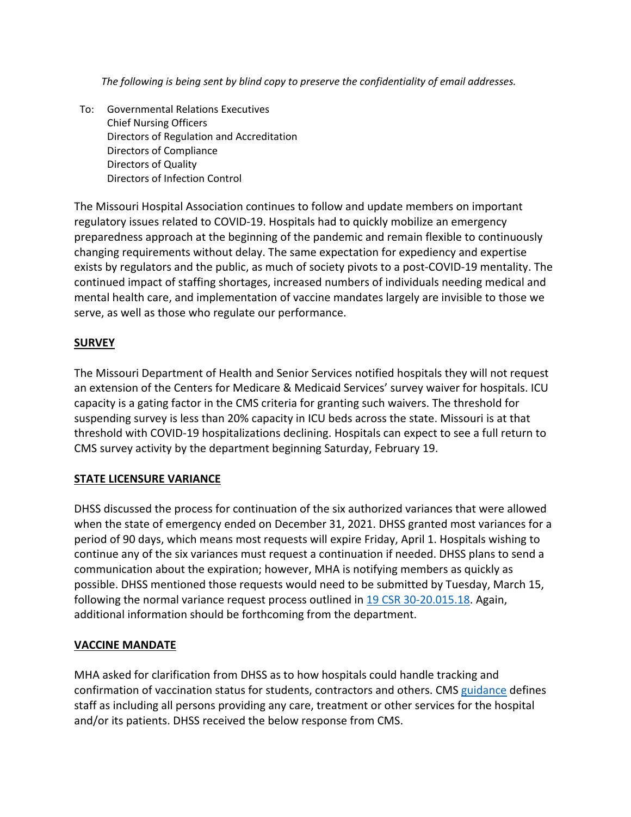*The following is being sent by blind copy to preserve the confidentiality of email addresses.*

To: Governmental Relations Executives Chief Nursing Officers Directors of Regulation and Accreditation Directors of Compliance Directors of Quality Directors of Infection Control

The Missouri Hospital Association continues to follow and update members on important regulatory issues related to COVID-19. Hospitals had to quickly mobilize an emergency preparedness approach at the beginning of the pandemic and remain flexible to continuously changing requirements without delay. The same expectation for expediency and expertise exists by regulators and the public, as much of society pivots to a post-COVID-19 mentality. The continued impact of staffing shortages, increased numbers of individuals needing medical and mental health care, and implementation of vaccine mandates largely are invisible to those we serve, as well as those who regulate our performance.

## **SURVEY**

The Missouri Department of Health and Senior Services notified hospitals they will not request an extension of the Centers for Medicare & Medicaid Services' survey waiver for hospitals. ICU capacity is a gating factor in the CMS criteria for granting such waivers. The threshold for suspending survey is less than 20% capacity in ICU beds across the state. Missouri is at that threshold with COVID-19 hospitalizations declining. Hospitals can expect to see a full return to CMS survey activity by the department beginning Saturday, February 19.

## **STATE LICENSURE VARIANCE**

DHSS discussed the process for continuation of the six authorized variances that were allowed when the state of emergency ended on December 31, 2021. DHSS granted most variances for a period of 90 days, which means most requests will expire Friday, April 1. Hospitals wishing to continue any of the six variances must request a continuation if needed. DHSS plans to send a communication about the expiration; however, MHA is notifying members as quickly as possible. DHSS mentioned those requests would need to be submitted by Tuesday, March 15, following the normal variance request process outlined i[n 19 CSR 30-20.015.18.](https://www.sos.mo.gov/cmsimages/adrules/csr/current/19csr/19c30-20.pdf) Again, additional information should be forthcoming from the department.

## **VACCINE MANDATE**

MHA asked for clarification from DHSS as to how hospitals could handle tracking and confirmation of vaccination status for students, contractors and others. CM[S guidance](https://www.cms.gov/files/document/attachment-d-hospital.pdf-0) defines staff as including all persons providing any care, treatment or other services for the hospital and/or its patients. DHSS received the below response from CMS.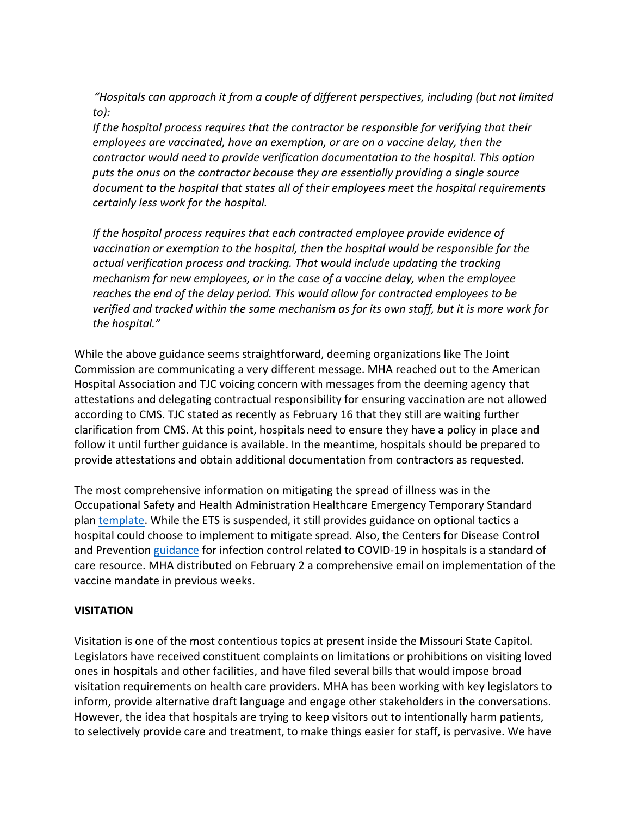*"Hospitals can approach it from a couple of different perspectives, including (but not limited to):*

*If the hospital process requires that the contractor be responsible for verifying that their employees are vaccinated, have an exemption, or are on a vaccine delay, then the contractor would need to provide verification documentation to the hospital. This option puts the onus on the contractor because they are essentially providing a single source document to the hospital that states all of their employees meet the hospital requirements certainly less work for the hospital.*

*If the hospital process requires that each contracted employee provide evidence of vaccination or exemption to the hospital, then the hospital would be responsible for the actual verification process and tracking. That would include updating the tracking mechanism for new employees, or in the case of a vaccine delay, when the employee reaches the end of the delay period. This would allow for contracted employees to be verified and tracked within the same mechanism as for its own staff, but it is more work for the hospital."*

While the above guidance seems straightforward, deeming organizations like The Joint Commission are communicating a very different message. MHA reached out to the American Hospital Association and TJC voicing concern with messages from the deeming agency that attestations and delegating contractual responsibility for ensuring vaccination are not allowed according to CMS. TJC stated as recently as February 16 that they still are waiting further clarification from CMS. At this point, hospitals need to ensure they have a policy in place and follow it until further guidance is available. In the meantime, hospitals should be prepared to provide attestations and obtain additional documentation from contractors as requested.

The most comprehensive information on mitigating the spread of illness was in the Occupational Safety and Health Administration Healthcare Emergency Temporary Standard plan [template.](https://www.osha.gov/sites/default/files/COVID-19_Healthcare_ETS_Model_Written_Plan.docx) While the ETS is suspended, it still provides guidance on optional tactics a hospital could choose to implement to mitigate spread. Also, the Centers for Disease Control and Prevention [guidance](https://www.cdc.gov/coronavirus/2019-ncov/hcp/infection-control-recommendations.html) for infection control related to COVID-19 in hospitals is a standard of care resource. MHA distributed on February 2 a comprehensive email on implementation of the vaccine mandate in previous weeks.

## **VISITATION**

Visitation is one of the most contentious topics at present inside the Missouri State Capitol. Legislators have received constituent complaints on limitations or prohibitions on visiting loved ones in hospitals and other facilities, and have filed several bills that would impose broad visitation requirements on health care providers. MHA has been working with key legislators to inform, provide alternative draft language and engage other stakeholders in the conversations. However, the idea that hospitals are trying to keep visitors out to intentionally harm patients, to selectively provide care and treatment, to make things easier for staff, is pervasive. We have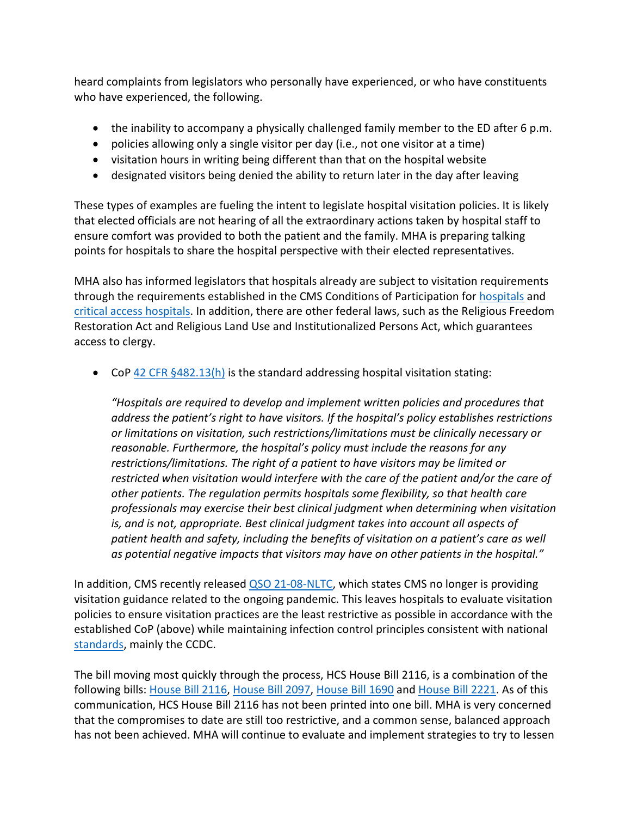heard complaints from legislators who personally have experienced, or who have constituents who have experienced, the following.

- the inability to accompany a physically challenged family member to the ED after 6 p.m.
- policies allowing only a single visitor per day (i.e., not one visitor at a time)
- visitation hours in writing being different than that on the hospital website
- designated visitors being denied the ability to return later in the day after leaving

These types of examples are fueling the intent to legislate hospital visitation policies. It is likely that elected officials are not hearing of all the extraordinary actions taken by hospital staff to ensure comfort was provided to both the patient and the family. MHA is preparing talking points for hospitals to share the hospital perspective with their elected representatives.

MHA also has informed legislators that hospitals already are subject to visitation requirements through the requirements established in the CMS Conditions of Participation for [hospitals](https://www.cms.gov/Regulations-and-Guidance/Guidance/Manuals/downloads/som107ap_a_hospitals.pdf) and [critical access hospitals.](https://www.cms.gov/Regulations-and-Guidance/Guidance/Manuals/downloads/som107ap_w_cah.pdf) In addition, there are other federal laws, such as the Religious Freedom Restoration Act and Religious Land Use and Institutionalized Persons Act, which guarantees access to clergy.

• CoP  $42$  CFR  $§482.13(h)$  is the standard addressing hospital visitation stating:

*"Hospitals are required to develop and implement written policies and procedures that address the patient's right to have visitors. If the hospital's policy establishes restrictions or limitations on visitation, such restrictions/limitations must be clinically necessary or reasonable. Furthermore, the hospital's policy must include the reasons for any restrictions/limitations. The right of a patient to have visitors may be limited or restricted when visitation would interfere with the care of the patient and/or the care of other patients. The regulation permits hospitals some flexibility, so that health care professionals may exercise their best clinical judgment when determining when visitation is, and is not, appropriate. Best clinical judgment takes into account all aspects of patient health and safety, including the benefits of visitation on a patient's care as well as potential negative impacts that visitors may have on other patients in the hospital."*

In addition, CMS recently released [QSO 21-08-NLTC,](https://www.cms.gov/medicareprovider-enrollment-and-certificationsurveycertificationgeninfopolicy-and-memos-states-and/covid-19-focused-infection-control-survey-tool-acute-and-continuing-care-providers-and-suppliers) which states CMS no longer is providing visitation guidance related to the ongoing pandemic. This leaves hospitals to evaluate visitation policies to ensure visitation practices are the least restrictive as possible in accordance with the established CoP (above) while maintaining infection control principles consistent with national [standards,](https://www.cdc.gov/coronavirus/2019-ncov/hcp/infection-control-recommendations.html) mainly the CCDC.

The bill moving most quickly through the process, HCS House Bill 2116, is a combination of the following bills: [House Bill 2116,](https://house.mo.gov/billtracking/bills221/hlrbillspdf/4212H.01I.pdf) [House Bill 2097,](https://house.mo.gov/billtracking/bills221/hlrbillspdf/4248H.01I.pdf) [House Bill 1690](https://house.mo.gov/billtracking/bills221/hlrbillspdf/3339H.02I.pdf) and [House Bill 2221.](https://house.mo.gov/billtracking/bills221/hlrbillspdf/4686H.01I.pdf) As of this communication, HCS House Bill 2116 has not been printed into one bill. MHA is very concerned that the compromises to date are still too restrictive, and a common sense, balanced approach has not been achieved. MHA will continue to evaluate and implement strategies to try to lessen